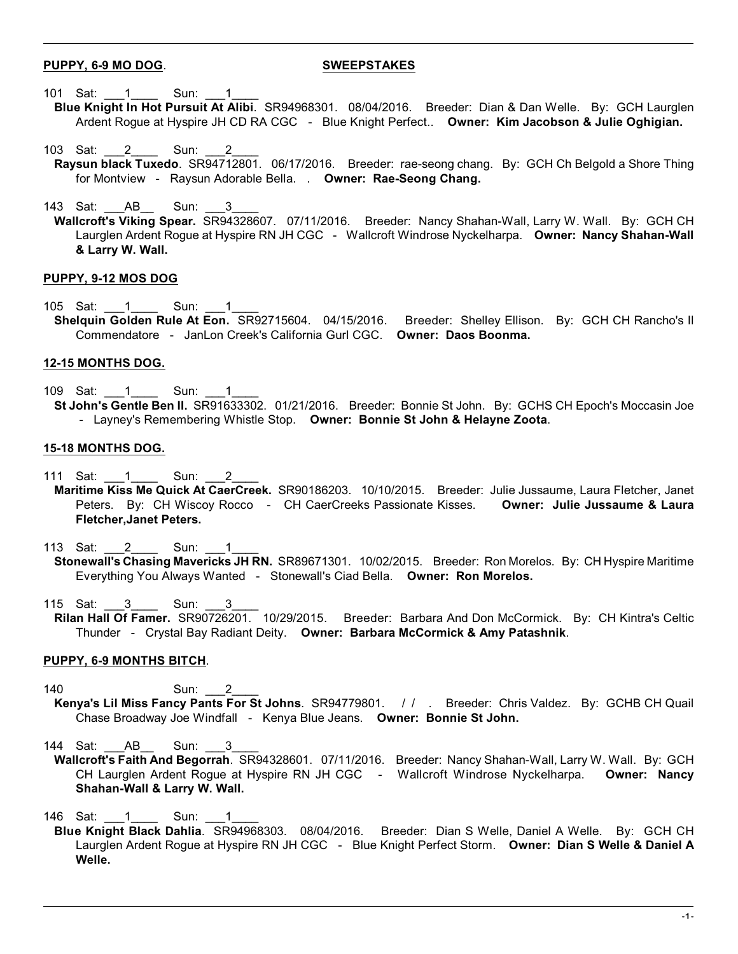# **PUPPY, 6-9 MO DOG**. **SWEEPSTAKES**

- 101 Sat: 1 Sun: 1
	- **Blue Knight In Hot Pursuit At Alibi**. SR94968301. 08/04/2016. Breeder: Dian & Dan Welle. By: GCH Laurglen Ardent Rogue at Hyspire JH CD RA CGC - Blue Knight Perfect.. **Owner: Kim Jacobson & Julie Oghigian.**
- 103 Sat: 2 Sun: 2 **Raysun black Tuxedo**. SR94712801. 06/17/2016. Breeder: rae-seong chang. By: GCH Ch Belgold a Shore Thing for Montview - Raysun Adorable Bella. . **Owner: Rae-Seong Chang.**
- 143 Sat: AB Sun:
- **Wallcroft's Viking Spear.** SR94328607. 07/11/2016. Breeder: Nancy Shahan-Wall, Larry W. Wall. By: GCH CH Laurglen Ardent Rogue at Hyspire RN JH CGC - Wallcroft Windrose Nyckelharpa. **Owner: Nancy Shahan-Wall & Larry W. Wall.**

## **PUPPY, 9-12 MOS DOG**

105 Sat: 1 Sun: 1 **Shelquin Golden Rule At Eon.** SR92715604. 04/15/2016. Breeder: Shelley Ellison. By: GCH CH Rancho's Il Commendatore - JanLon Creek's California Gurl CGC. **Owner: Daos Boonma.**

### **12-15 MONTHS DOG.**

109 Sat: 1 Sun: 1 **St John's Gentle Ben II.** SR91633302. 01/21/2016. Breeder: Bonnie St John. By: GCHS CH Epoch's Moccasin Joe - Layney's Remembering Whistle Stop. **Owner: Bonnie St John & Helayne Zoota**.

#### **15-18 MONTHS DOG.**

- 111 Sat: 1 Sun: 2
- **Maritime Kiss Me Quick At CaerCreek.** SR90186203. 10/10/2015. Breeder: Julie Jussaume, Laura Fletcher, Janet Peters. By: CH Wiscoy Rocco - CH CaerCreeks Passionate Kisses. **Owner: Julie Jussaume & Laura Fletcher,Janet Peters.**
- 113 Sat: 2 Sun: 1
- **Stonewall's Chasing Mavericks JH RN.** SR89671301. 10/02/2015. Breeder: Ron Morelos. By: CH Hyspire Maritime Everything You Always Wanted - Stonewall's Ciad Bella. **Owner: Ron Morelos.**
- 115 Sat: 3 Sun: 3
- **Rilan Hall Of Famer.** SR90726201. 10/29/2015. Breeder: Barbara And Don McCormick. By: CH Kintra's Celtic Thunder - Crystal Bay Radiant Deity. **Owner: Barbara McCormick & Amy Patashnik**.

#### **PUPPY, 6-9 MONTHS BITCH**.

- 140 Sun: 2 **Kenya's Lil Miss Fancy Pants For St Johns**. SR94779801. / / . Breeder: Chris Valdez. By: GCHB CH Quail Chase Broadway Joe Windfall - Kenya Blue Jeans. **Owner: Bonnie St John.**
- 144 Sat: AB Sun: 3
- **Wallcroft's Faith And Begorrah**. SR94328601. 07/11/2016. Breeder: Nancy Shahan-Wall, Larry W. Wall. By: GCH CH Laurglen Ardent Rogue at Hyspire RN JH CGC - Wallcroft Windrose Nyckelharpa. **Owner: Nancy Shahan-Wall & Larry W. Wall.**

146 Sat: 1 Sun:

**Blue Knight Black Dahlia**. SR94968303. 08/04/2016. Breeder: Dian S Welle, Daniel A Welle. By: GCH CH Laurglen Ardent Rogue at Hyspire RN JH CGC - Blue Knight Perfect Storm. **Owner: Dian S Welle & Daniel A Welle.**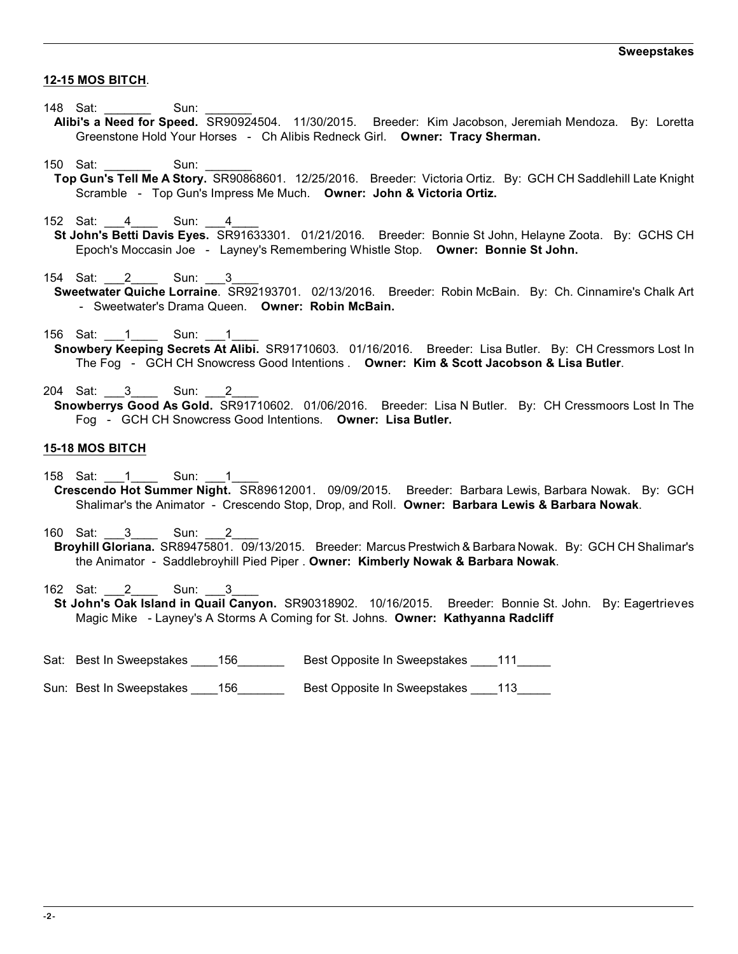## **12-15 MOS BITCH**.

- 148 Sat: \_\_\_\_\_\_\_ Sun:
- **Alibi's a Need for Speed.** SR90924504. 11/30/2015. Breeder: Kim Jacobson, Jeremiah Mendoza. By: Loretta Greenstone Hold Your Horses - Ch Alibis Redneck Girl. **Owner: Tracy Sherman.**
- 150 Sat: Sun:
- **Top Gun's Tell Me A Story.** SR90868601. 12/25/2016. Breeder: Victoria Ortiz. By: GCH CH Saddlehill Late Knight Scramble - Top Gun's Impress Me Much. **Owner: John & Victoria Ortiz.**
- 152 Sat: 4 Sun: 4
- **St John's Betti Davis Eyes.** SR91633301. 01/21/2016. Breeder: Bonnie St John, Helayne Zoota. By: GCHS CH Epoch's Moccasin Joe - Layney's Remembering Whistle Stop. **Owner: Bonnie St John.**
- 154 Sat: 2 Sun: 3 **Sweetwater Quiche Lorraine**. SR92193701. 02/13/2016. Breeder: Robin McBain. By: Ch. Cinnamire's Chalk Art - Sweetwater's Drama Queen. **Owner: Robin McBain.**
- 156 Sat: 1 Sun: 1
- **Snowbery Keeping Secrets At Alibi.** SR91710603. 01/16/2016. Breeder: Lisa Butler. By: CH Cressmors Lost In The Fog - GCH CH Snowcress Good Intentions . **Owner: Kim & Scott Jacobson & Lisa Butler**.
- 204 Sat: 3 Sun: 2 **Snowberrys Good As Gold.** SR91710602. 01/06/2016. Breeder: Lisa N Butler. By: CH Cressmoors Lost In The Fog - GCH CH Snowcress Good Intentions. **Owner: Lisa Butler.**

## **15-18 MOS BITCH**

- 158 Sat: 1 Sun: 1
- **Crescendo Hot Summer Night.** SR89612001. 09/09/2015. Breeder: Barbara Lewis, Barbara Nowak. By: GCH Shalimar's the Animator - Crescendo Stop, Drop, and Roll. **Owner: Barbara Lewis & Barbara Nowak**.
- 160 Sat: 3 Sun: **Broyhill Gloriana.** SR89475801. 09/13/2015. Breeder: Marcus Prestwich & Barbara Nowak. By: GCH CH Shalimar's the Animator - Saddlebroyhill Pied Piper . **Owner: Kimberly Nowak & Barbara Nowak**.
- 162 Sat: 2 Sun: 3
- **St John's Oak Island in Quail Canyon.** SR90318902. 10/16/2015. Breeder: Bonnie St. John. By: Eagertrieves Magic Mike - Layney's A Storms A Coming for St. Johns. **Owner: Kathyanna Radcliff**
- Sat: Best In Sweepstakes \_\_\_\_156\_\_\_\_\_\_\_ Best Opposite In Sweepstakes \_\_\_\_111\_\_\_\_\_
- Sun: Best In Sweepstakes \_\_\_\_156 \_\_\_\_\_\_\_\_ Best Opposite In Sweepstakes \_\_\_\_113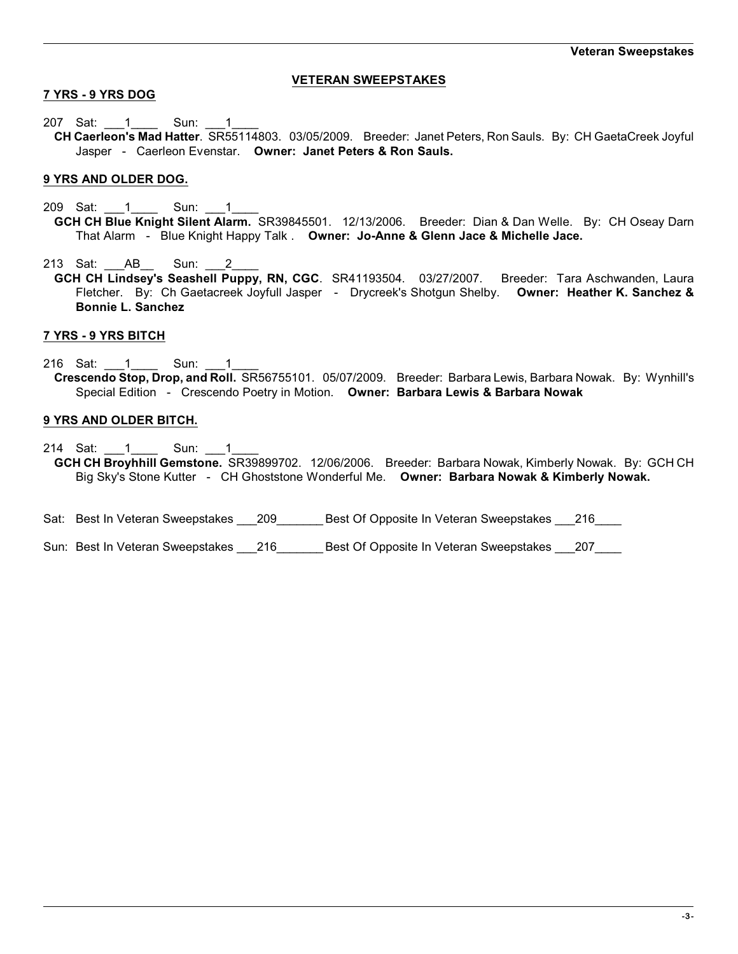# **VETERAN SWEEPSTAKES**

# **7 YRS - 9 YRS DOG**

207 Sat: 1 Sun: 1 **CH Caerleon's Mad Hatter**. SR55114803. 03/05/2009. Breeder: Janet Peters, Ron Sauls. By: CH GaetaCreek Joyful Jasper - Caerleon Evenstar. **Owner: Janet Peters & Ron Sauls.**

## **9 YRS AND OLDER DOG.**

209 Sat: 1 Sun: 1 **GCH CH Blue Knight Silent Alarm.** SR39845501. 12/13/2006. Breeder: Dian & Dan Welle. By: CH Oseay Darn That Alarm - Blue Knight Happy Talk . **Owner: Jo-Anne & Glenn Jace & Michelle Jace.**

213 Sat: AB Sun: 2

**GCH CH Lindsey's Seashell Puppy, RN, CGC**. SR41193504. 03/27/2007. Breeder: Tara Aschwanden, Laura Fletcher. By: Ch Gaetacreek Joyfull Jasper - Drycreek's Shotgun Shelby. **Owner: Heather K. Sanchez & Bonnie L. Sanchez**

## **7 YRS - 9 YRS BITCH**

216 Sat: 1 \_\_\_\_ Sun: 1 **Crescendo Stop, Drop, and Roll.** SR56755101. 05/07/2009. Breeder: Barbara Lewis, Barbara Nowak. By: Wynhill's Special Edition - Crescendo Poetry in Motion. **Owner: Barbara Lewis & Barbara Nowak**

## **9 YRS AND OLDER BITCH.**

- 214 Sat: 1 Sun: 1 **GCH CH Broyhhill Gemstone.** SR39899702. 12/06/2006. Breeder: Barbara Nowak, Kimberly Nowak. By: GCH CH Big Sky's Stone Kutter - CH Ghoststone Wonderful Me. **Owner: Barbara Nowak & Kimberly Nowak.**
- Sat: Best In Veteran Sweepstakes 209 best Of Opposite In Veteran Sweepstakes 216
- Sun: Best In Veteran Sweepstakes \_\_\_216 \_\_\_\_\_\_\_\_ Best Of Opposite In Veteran Sweepstakes \_\_\_207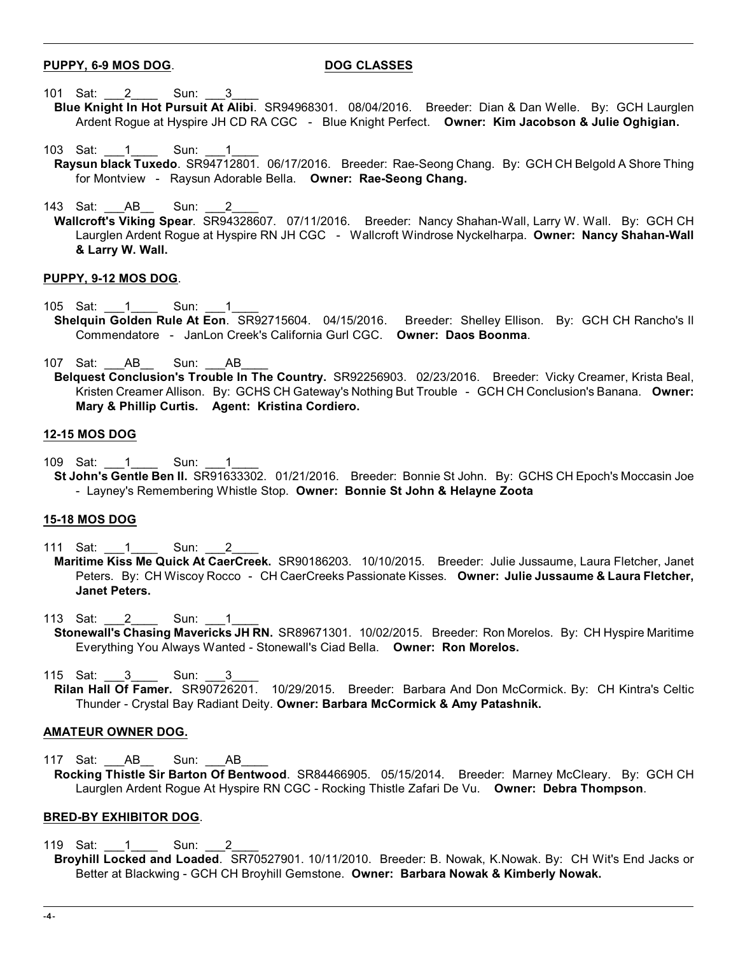## **PUPPY, 6-9 MOS DOG**. **DOG CLASSES**

- 101 Sat: 2 Sun: 3
	- **Blue Knight In Hot Pursuit At Alibi**. SR94968301. 08/04/2016. Breeder: Dian & Dan Welle. By: GCH Laurglen Ardent Rogue at Hyspire JH CD RA CGC - Blue Knight Perfect. **Owner: Kim Jacobson & Julie Oghigian.**
- 103 Sat: 1 Sun: 1 **Raysun black Tuxedo**. SR94712801. 06/17/2016. Breeder: Rae-Seong Chang. By: GCH CH Belgold A Shore Thing for Montview - Raysun Adorable Bella. **Owner: Rae-Seong Chang.**
- 143 Sat: AB Sun:
- **Wallcroft's Viking Spear**. SR94328607. 07/11/2016. Breeder: Nancy Shahan-Wall, Larry W. Wall. By: GCH CH Laurglen Ardent Rogue at Hyspire RN JH CGC - Wallcroft Windrose Nyckelharpa. **Owner: Nancy Shahan-Wall & Larry W. Wall.**

### **PUPPY, 9-12 MOS DOG**.

- 105 Sat: 1 Sun: 1
	- **Shelquin Golden Rule At Eon**. SR92715604. 04/15/2016. Breeder: Shelley Ellison. By: GCH CH Rancho's Il Commendatore - JanLon Creek's California Gurl CGC. **Owner: Daos Boonma**.
	- 107 Sat: AB Sun: AB
	- **Belquest Conclusion's Trouble In The Country.** SR92256903. 02/23/2016. Breeder: Vicky Creamer, Krista Beal, Kristen Creamer Allison. By: GCHS CH Gateway's Nothing But Trouble - GCH CH Conclusion's Banana. **Owner: Mary & Phillip Curtis. Agent: Kristina Cordiero.**

## **12-15 MOS DOG**

- 109 Sat: 1 Sun: 1
- **St John's Gentle Ben II.** SR91633302. 01/21/2016. Breeder: Bonnie St John. By: GCHS CH Epoch's Moccasin Joe - Layney's Remembering Whistle Stop. **Owner: Bonnie St John & Helayne Zoota**

## **15-18 MOS DOG**

- 111 Sat: 1 Sun: 2
- **Maritime Kiss Me Quick At CaerCreek.** SR90186203. 10/10/2015. Breeder: Julie Jussaume, Laura Fletcher, Janet Peters. By: CH Wiscoy Rocco - CH CaerCreeks Passionate Kisses. **Owner: Julie Jussaume & Laura Fletcher, Janet Peters.**
- 113 Sat: 2 Sun: 1 **Stonewall's Chasing Mavericks JH RN.** SR89671301. 10/02/2015. Breeder: Ron Morelos. By: CH Hyspire Maritime Everything You Always Wanted - Stonewall's Ciad Bella. **Owner: Ron Morelos.**
- 115 Sat: 3 Sun: 3
- **Rilan Hall Of Famer.** SR90726201. 10/29/2015. Breeder: Barbara And Don McCormick. By: CH Kintra's Celtic Thunder - Crystal Bay Radiant Deity. **Owner: Barbara McCormick & Amy Patashnik.**

## **AMATEUR OWNER DOG.**

117 Sat: AB Sun: AB **Rocking Thistle Sir Barton Of Bentwood**. SR84466905. 05/15/2014. Breeder: Marney McCleary. By: GCH CH Laurglen Ardent Rogue At Hyspire RN CGC - Rocking Thistle Zafari De Vu. **Owner: Debra Thompson**.

## **BRED-BY EXHIBITOR DOG**.

119 Sat: 1 Sun: 2 **Broyhill Locked and Loaded**. SR70527901. 10/11/2010. Breeder: B. Nowak, K.Nowak. By: CH Wit's End Jacks or Better at Blackwing - GCH CH Broyhill Gemstone. **Owner: Barbara Nowak & Kimberly Nowak.**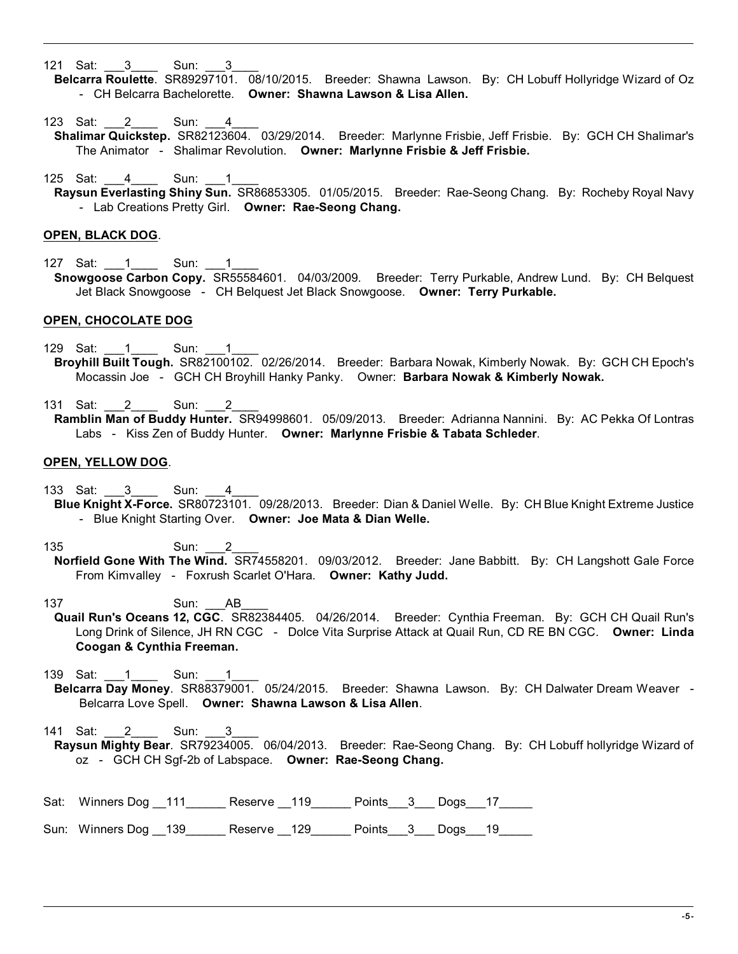121 Sat: 3 Sun: 3

- **Belcarra Roulette**. SR89297101. 08/10/2015. Breeder: Shawna Lawson. By: CH Lobuff Hollyridge Wizard of Oz - CH Belcarra Bachelorette. **Owner: Shawna Lawson & Lisa Allen.**
- 123 Sat: 2 Sun: 4
- **Shalimar Quickstep.** SR82123604. 03/29/2014. Breeder: Marlynne Frisbie, Jeff Frisbie. By: GCH CH Shalimar's The Animator - Shalimar Revolution. **Owner: Marlynne Frisbie & Jeff Frisbie.**
- 125 Sat: 4 Sun: 1 **Raysun Everlasting Shiny Sun.** SR86853305. 01/05/2015. Breeder: Rae-Seong Chang. By: Rocheby Royal Navy - Lab Creations Pretty Girl. **Owner: Rae-Seong Chang.**

#### **OPEN, BLACK DOG**.

127 Sat: 1 Sun: 1 **Snowgoose Carbon Copy.** SR55584601. 04/03/2009. Breeder: Terry Purkable, Andrew Lund. By: CH Belquest Jet Black Snowgoose - CH Belquest Jet Black Snowgoose. **Owner: Terry Purkable.**

### **OPEN, CHOCOLATE DOG**

- 129 Sat: 1 Sun: 1 **Broyhill Built Tough.** SR82100102. 02/26/2014. Breeder: Barbara Nowak, Kimberly Nowak. By: GCH CH Epoch's Mocassin Joe - GCH CH Broyhill Hanky Panky. Owner: **Barbara Nowak & Kimberly Nowak.**
- 131 Sat: 2 Sun: 2 **Ramblin Man of Buddy Hunter.** SR94998601. 05/09/2013. Breeder: Adrianna Nannini. By: AC Pekka Of Lontras Labs - Kiss Zen of Buddy Hunter. **Owner: Marlynne Frisbie & Tabata Schleder**.

### **OPEN, YELLOW DOG**.

- 133 Sat: \_\_\_3\_\_\_\_ Sun: \_\_\_4\_ **Blue Knight X-Force.** SR80723101. 09/28/2013. Breeder: Dian & Daniel Welle. By: CH Blue Knight Extreme Justice - Blue Knight Starting Over. **Owner: Joe Mata & Dian Welle.**
- 135 Sun: 2 **Norfield Gone With The Wind.** SR74558201. 09/03/2012. Breeder: Jane Babbitt. By: CH Langshott Gale Force From Kimvalley - Foxrush Scarlet O'Hara. **Owner: Kathy Judd.**
- 137 Sun: \_\_\_AB\_\_\_\_ **Quail Run's Oceans 12, CGC**. SR82384405. 04/26/2014. Breeder: Cynthia Freeman. By: GCH CH Quail Run's Long Drink of Silence, JH RN CGC - Dolce Vita Surprise Attack at Quail Run, CD RE BN CGC. **Owner: Linda Coogan & Cynthia Freeman.**
- 139 Sat: 1 Sun: 1 **Belcarra Day Money**. SR88379001. 05/24/2015. Breeder: Shawna Lawson. By: CH Dalwater Dream Weaver - Belcarra Love Spell. **Owner: Shawna Lawson & Lisa Allen**.
- 141 Sat: 2 Sun: 3 **Raysun Mighty Bear**. SR79234005. 06/04/2013. Breeder: Rae-Seong Chang. By: CH Lobuff hollyridge Wizard of oz - GCH CH Sgf-2b of Labspace. **Owner: Rae-Seong Chang.**
- Sat: Winners Dog \_\_111\_\_\_\_\_\_\_ Reserve \_\_119 \_\_\_\_\_ Points \_\_3\_\_\_ Dogs\_\_\_17\_\_\_\_\_\_

Sun: Winners Dog \_\_139\_\_\_\_\_\_ Reserve \_\_129\_\_\_\_\_\_ Points \_\_3 \_\_ Dogs\_ 19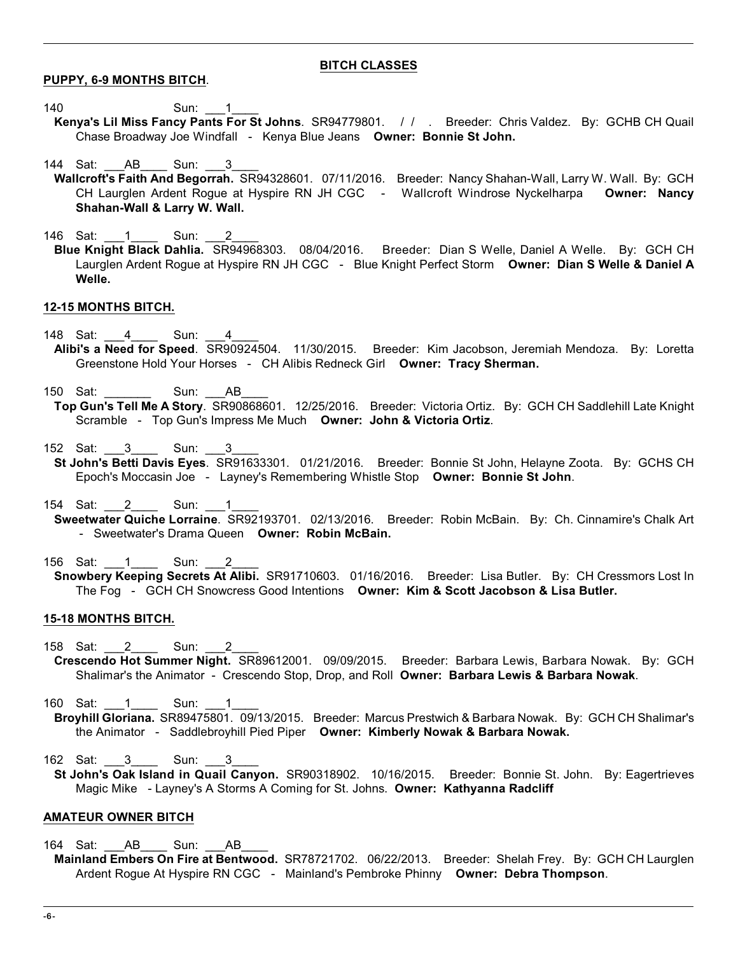## **BITCH CLASSES**

**PUPPY, 6-9 MONTHS BITCH**.

- 140 Sun: 1
- **Kenya's Lil Miss Fancy Pants For St Johns**. SR94779801. / / . Breeder: Chris Valdez. By: GCHB CH Quail Chase Broadway Joe Windfall - Kenya Blue Jeans **Owner: Bonnie St John.**
- 144 Sat: AB Sun: 3
- **Wallcroft's Faith And Begorrah.** SR94328601. 07/11/2016. Breeder: Nancy Shahan-Wall, Larry W. Wall. By: GCH CH Laurglen Ardent Rogue at Hyspire RN JH CGC - Wallcroft Windrose Nyckelharpa **Owner: Nancy Shahan-Wall & Larry W. Wall.**
- 146 Sat: 1\_\_\_1\_\_\_\_ Sun: 2 **Blue Knight Black Dahlia.** SR94968303. 08/04/2016. Breeder: Dian S Welle, Daniel A Welle. By: GCH CH Laurglen Ardent Rogue at Hyspire RN JH CGC - Blue Knight Perfect Storm **Owner: Dian S Welle & Daniel A Welle.**

# **12-15 MONTHS BITCH.**

- 148 Sat: 4 Sun: 4 **Alibi's a Need for Speed**. SR90924504. 11/30/2015. Breeder: Kim Jacobson, Jeremiah Mendoza. By: Loretta Greenstone Hold Your Horses - CH Alibis Redneck Girl **Owner: Tracy Sherman.**
- 150 Sat: **Sun: AB**

- 152 Sat: 3 Sun:
- **St John's Betti Davis Eyes**. SR91633301. 01/21/2016. Breeder: Bonnie St John, Helayne Zoota. By: GCHS CH Epoch's Moccasin Joe - Layney's Remembering Whistle Stop **Owner: Bonnie St John**.
- 154 Sat: 2 Sun: 1
- **Sweetwater Quiche Lorraine**. SR92193701. 02/13/2016. Breeder: Robin McBain. By: Ch. Cinnamire's Chalk Art - Sweetwater's Drama Queen **Owner: Robin McBain.**
- 156 Sat: 1 Sun: 2 **Snowbery Keeping Secrets At Alibi.** SR91710603. 01/16/2016. Breeder: Lisa Butler. By: CH Cressmors Lost In The Fog - GCH CH Snowcress Good Intentions **Owner: Kim & Scott Jacobson & Lisa Butler.**

## **15-18 MONTHS BITCH.**

158 Sat: 2 Sun: 2

**Crescendo Hot Summer Night.** SR89612001. 09/09/2015. Breeder: Barbara Lewis, Barbara Nowak. By: GCH Shalimar's the Animator - Crescendo Stop, Drop, and Roll **Owner: Barbara Lewis & Barbara Nowak**.

160 Sat: 1 Sun:

**Broyhill Gloriana.** SR89475801. 09/13/2015. Breeder: Marcus Prestwich & Barbara Nowak. By: GCH CH Shalimar's the Animator - Saddlebroyhill Pied Piper **Owner: Kimberly Nowak & Barbara Nowak.**

162 Sat: 3 Sun: 3

**St John's Oak Island in Quail Canyon.** SR90318902. 10/16/2015. Breeder: Bonnie St. John. By: Eagertrieves Magic Mike - Layney's A Storms A Coming for St. Johns. **Owner: Kathyanna Radcliff**

## **AMATEUR OWNER BITCH**

164 Sat: AB Sun: AB

**Mainland Embers On Fire at Bentwood.** SR78721702. 06/22/2013. Breeder: Shelah Frey. By: GCH CH Laurglen Ardent Rogue At Hyspire RN CGC - Mainland's Pembroke Phinny **Owner: Debra Thompson**.

**Top Gun's Tell Me A Story**. SR90868601. 12/25/2016. Breeder: Victoria Ortiz. By: GCH CH Saddlehill Late Knight Scramble - Top Gun's Impress Me Much **Owner: John & Victoria Ortiz**.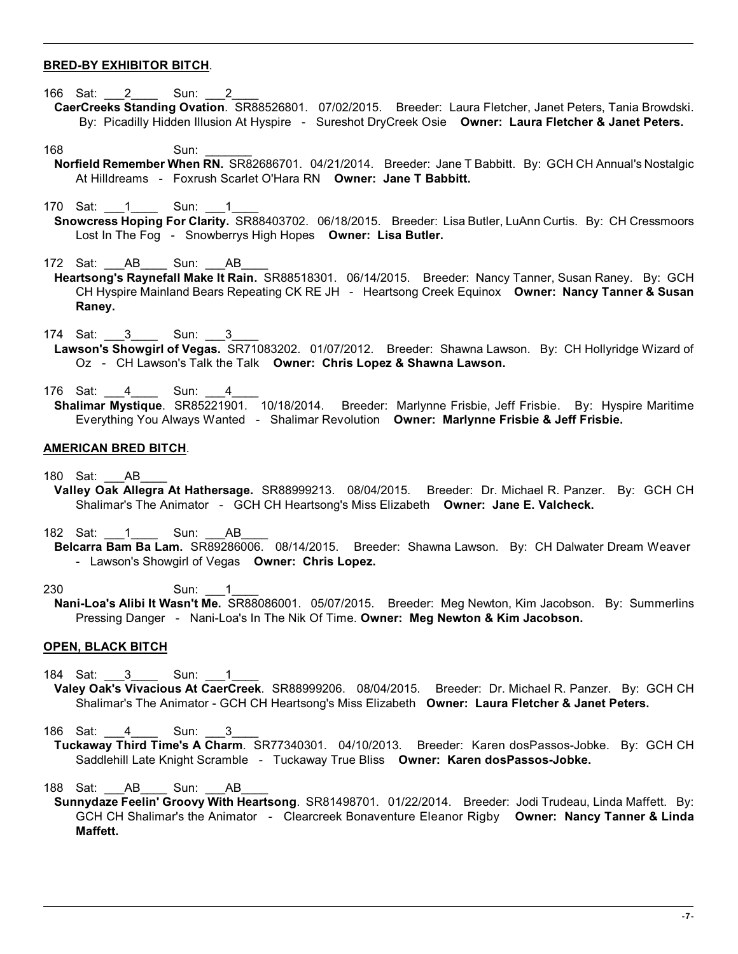## **BRED-BY EXHIBITOR BITCH**.

- 166 Sat: 2 Sun: 2
- **CaerCreeks Standing Ovation**. SR88526801. 07/02/2015. Breeder: Laura Fletcher, Janet Peters, Tania Browdski. By: Picadilly Hidden Illusion At Hyspire - Sureshot DryCreek Osie **Owner: Laura Fletcher & Janet Peters.**
- 168 Sun: \_\_\_\_\_\_\_
- **Norfield Remember When RN.** SR82686701. 04/21/2014. Breeder: Jane T Babbitt. By: GCH CH Annual's Nostalgic At Hilldreams - Foxrush Scarlet O'Hara RN **Owner: Jane T Babbitt.**
- 170 Sat: 1 Sun: 1
- **Snowcress Hoping For Clarity.** SR88403702. 06/18/2015. Breeder: Lisa Butler, LuAnn Curtis. By: CH Cressmoors Lost In The Fog - Snowberrys High Hopes **Owner: Lisa Butler.**
- 172 Sat: AB Sun: AB
- **Heartsong's Raynefall Make It Rain.** SR88518301. 06/14/2015. Breeder: Nancy Tanner, Susan Raney. By: GCH CH Hyspire Mainland Bears Repeating CK RE JH - Heartsong Creek Equinox **Owner: Nancy Tanner & Susan Raney.**
- 174 Sat: 3 Sun: 3 **Lawson's Showgirl of Vegas.** SR71083202. 01/07/2012. Breeder: Shawna Lawson. By: CH Hollyridge Wizard of Oz - CH Lawson's Talk the Talk **Owner: Chris Lopez & Shawna Lawson.**
- 176 Sat: 4 Sun: 4 **Shalimar Mystique**. SR85221901. 10/18/2014. Breeder: Marlynne Frisbie, Jeff Frisbie. By: Hyspire Maritime Everything You Always Wanted - Shalimar Revolution **Owner: Marlynne Frisbie & Jeff Frisbie.**

### **AMERICAN BRED BITCH**.

180 Sat: AB

- **Valley Oak Allegra At Hathersage.** SR88999213. 08/04/2015. Breeder: Dr. Michael R. Panzer. By: GCH CH Shalimar's The Animator - GCH CH Heartsong's Miss Elizabeth **Owner: Jane E. Valcheck.**
- 182 Sat: 1 Sun: AB **Belcarra Bam Ba Lam.** SR89286006. 08/14/2015. Breeder: Shawna Lawson. By: CH Dalwater Dream Weaver - Lawson's Showgirl of Vegas **Owner: Chris Lopez.**
- 230 Sun: 1 **Nani-Loa's Alibi It Wasn't Me.** SR88086001. 05/07/2015. Breeder: Meg Newton, Kim Jacobson. By: Summerlins Pressing Danger - Nani-Loa's In The Nik Of Time. **Owner: Meg Newton & Kim Jacobson.**

#### **OPEN, BLACK BITCH**

- 184 Sat: 3 Sun: 1
- **Valey Oak's Vivacious At CaerCreek**. SR88999206. 08/04/2015. Breeder: Dr. Michael R. Panzer. By: GCH CH Shalimar's The Animator - GCH CH Heartsong's Miss Elizabeth **Owner: Laura Fletcher & Janet Peters.**
- 186 Sat: 4 Sun: 3 **Tuckaway Third Time's A Charm**. SR77340301. 04/10/2013. Breeder: Karen dosPassos-Jobke. By: GCH CH Saddlehill Late Knight Scramble - Tuckaway True Bliss **Owner: Karen dosPassos-Jobke.**
- 188 Sat: AB Sun: AB
- **Sunnydaze Feelin' Groovy With Heartsong**. SR81498701. 01/22/2014. Breeder: Jodi Trudeau, Linda Maffett. By: GCH CH Shalimar's the Animator - Clearcreek Bonaventure Eleanor Rigby **Owner: Nancy Tanner & Linda Maffett.**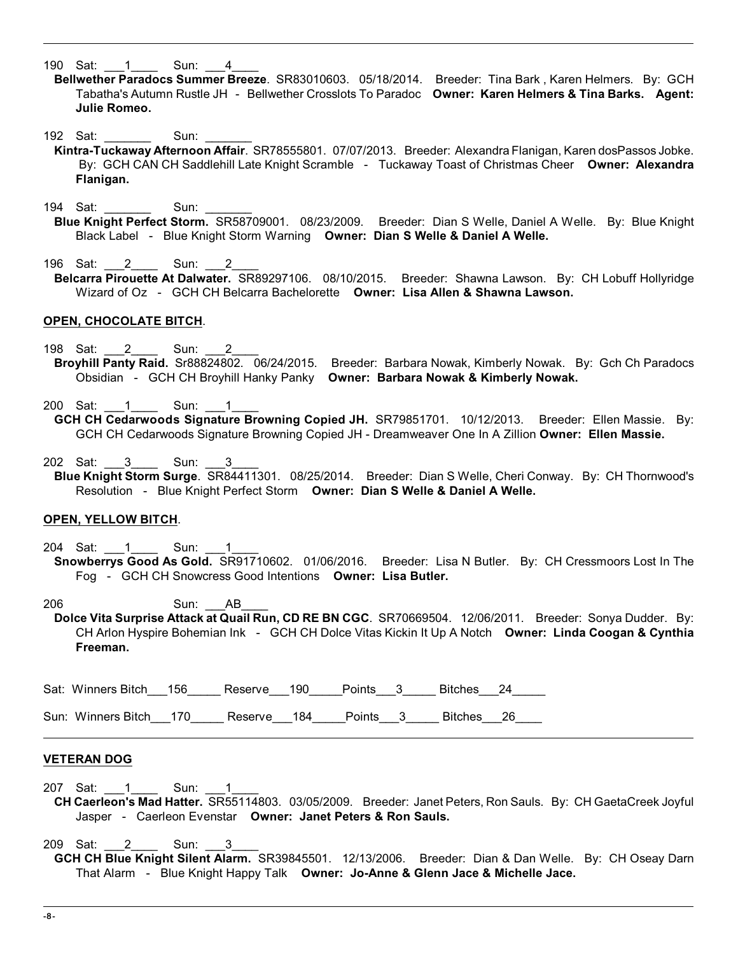190 Sat: 1 Sun: 4

- **Bellwether Paradocs Summer Breeze**. SR83010603. 05/18/2014. Breeder: Tina Bark , Karen Helmers. By: GCH Tabatha's Autumn Rustle JH - Bellwether Crosslots To Paradoc **Owner: Karen Helmers & Tina Barks. Agent: Julie Romeo.**
- 192 Sat: \_\_\_\_\_\_\_\_\_ Sun:
- **Kintra-Tuckaway Afternoon Affair**. SR78555801. 07/07/2013. Breeder: Alexandra Flanigan, Karen dosPassos Jobke. By: GCH CAN CH Saddlehill Late Knight Scramble - Tuckaway Toast of Christmas Cheer **Owner: Alexandra Flanigan.**
- 194 Sat: Sun: **Blue Knight Perfect Storm.** SR58709001. 08/23/2009. Breeder: Dian S Welle, Daniel A Welle. By: Blue Knight Black Label - Blue Knight Storm Warning **Owner: Dian S Welle & Daniel A Welle.**
- 196 Sat: 2 Sun: 2 **Belcarra Pirouette At Dalwater.** SR89297106. 08/10/2015. Breeder: Shawna Lawson. By: CH Lobuff Hollyridge Wizard of Oz - GCH CH Belcarra Bachelorette **Owner: Lisa Allen & Shawna Lawson.**

#### **OPEN, CHOCOLATE BITCH**.

198 Sat: 2 Sun: 2

**Broyhill Panty Raid.** Sr88824802. 06/24/2015. Breeder: Barbara Nowak, Kimberly Nowak. By: Gch Ch Paradocs Obsidian - GCH CH Broyhill Hanky Panky **Owner: Barbara Nowak & Kimberly Nowak.**

200 Sat: 1 Sun: 1

- **GCH CH Cedarwoods Signature Browning Copied JH.** SR79851701. 10/12/2013. Breeder: Ellen Massie. By: GCH CH Cedarwoods Signature Browning Copied JH - Dreamweaver One In A Zillion **Owner: Ellen Massie.**
- 202 Sat: 3 Sun: 3
- **Blue Knight Storm Surge**. SR84411301. 08/25/2014. Breeder: Dian S Welle, Cheri Conway. By: CH Thornwood's Resolution - Blue Knight Perfect Storm **Owner: Dian S Welle & Daniel A Welle.**

## **OPEN, YELLOW BITCH**.

204 Sat: 1 Sun: 1

- **Snowberrys Good As Gold.** SR91710602. 01/06/2016. Breeder: Lisa N Butler. By: CH Cressmoors Lost In The Fog - GCH CH Snowcress Good Intentions **Owner: Lisa Butler.**
- 206 Sun: AB **Dolce Vita Surprise Attack at Quail Run, CD RE BN CGC**. SR70669504. 12/06/2011. Breeder: Sonya Dudder. By: CH Arlon Hyspire Bohemian Ink - GCH CH Dolce Vitas Kickin It Up A Notch **Owner: Linda Coogan & Cynthia Freeman.**

Sat: Winners Bitch 156 Reserve 190 Points 3 Bitches 24

Sun: Winners Bitch 170 Reserve 184 Points 3 Bitches 26

#### **VETERAN DOG**

207 Sat: 1 Sun: 1 **CH Caerleon's Mad Hatter.** SR55114803. 03/05/2009. Breeder: Janet Peters, Ron Sauls. By: CH GaetaCreek Joyful Jasper - Caerleon Evenstar **Owner: Janet Peters & Ron Sauls.**

209 Sat: 2 Sun: 3

**GCH CH Blue Knight Silent Alarm.** SR39845501. 12/13/2006. Breeder: Dian & Dan Welle. By: CH Oseay Darn That Alarm - Blue Knight Happy Talk **Owner: Jo-Anne & Glenn Jace & Michelle Jace.**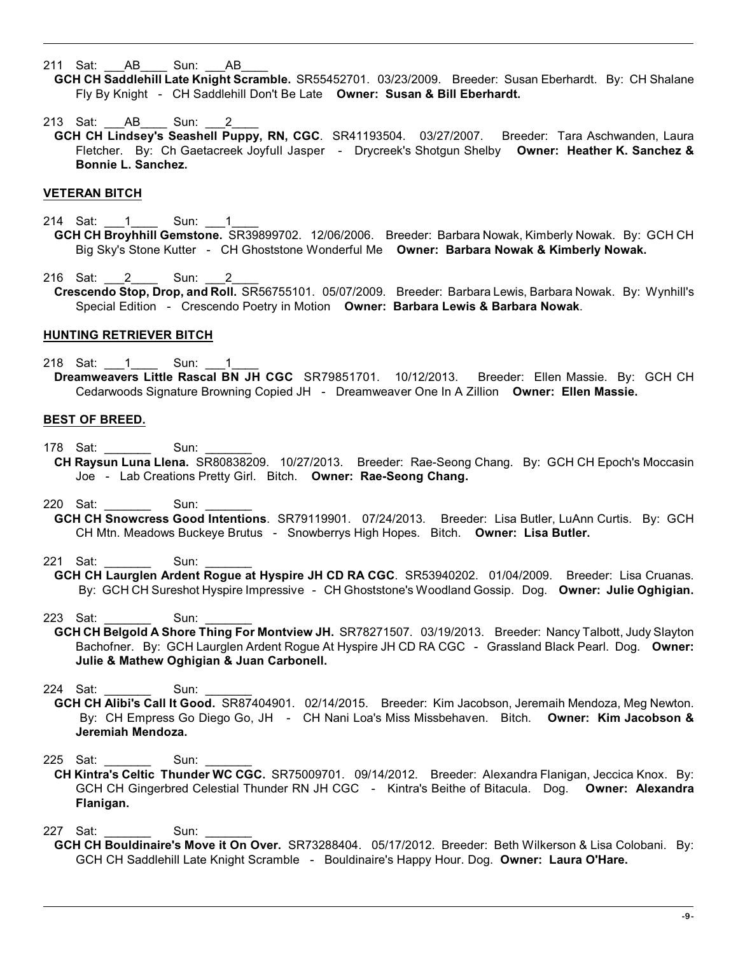211 Sat: AB Sun: AB

**GCH CH Saddlehill Late Knight Scramble.** SR55452701. 03/23/2009. Breeder: Susan Eberhardt. By: CH Shalane Fly By Knight - CH Saddlehill Don't Be Late **Owner: Susan & Bill Eberhardt.**

213 Sat: AB Sun: 2

**GCH CH Lindsey's Seashell Puppy, RN, CGC**. SR41193504. 03/27/2007. Breeder: Tara Aschwanden, Laura Fletcher. By: Ch Gaetacreek Joyfull Jasper - Drycreek's Shotgun Shelby **Owner: Heather K. Sanchez & Bonnie L. Sanchez.**

## **VETERAN BITCH**

- 214 Sat: 1 Sun: 1 **GCH CH Broyhhill Gemstone.** SR39899702. 12/06/2006. Breeder: Barbara Nowak, Kimberly Nowak. By: GCH CH Big Sky's Stone Kutter - CH Ghoststone Wonderful Me **Owner: Barbara Nowak & Kimberly Nowak.**
- 216 Sat: 2 Sun: 2 **Crescendo Stop, Drop, and Roll.** SR56755101. 05/07/2009. Breeder: Barbara Lewis, Barbara Nowak. By: Wynhill's Special Edition - Crescendo Poetry in Motion **Owner: Barbara Lewis & Barbara Nowak**.

## **HUNTING RETRIEVER BITCH**

218 Sat: 1 Sun: 1 **Dreamweavers Little Rascal BN JH CGC** SR79851701. 10/12/2013. Breeder: Ellen Massie. By: GCH CH Cedarwoods Signature Browning Copied JH - Dreamweaver One In A Zillion **Owner: Ellen Massie.**

## **BEST OF BREED.**

- 178 Sat: Sun:
	- **CH Raysun Luna Llena.** SR80838209. 10/27/2013. Breeder: Rae-Seong Chang. By: GCH CH Epoch's Moccasin Joe - Lab Creations Pretty Girl. Bitch. **Owner: Rae-Seong Chang.**
- 220 Sat: Sun:
- **GCH CH Snowcress Good Intentions**. SR79119901. 07/24/2013. Breeder: Lisa Butler, LuAnn Curtis. By: GCH CH Mtn. Meadows Buckeye Brutus - Snowberrys High Hopes. Bitch. **Owner: Lisa Butler.**
- 221 Sat: Sun:
- **GCH CH Laurglen Ardent Rogue at Hyspire JH CD RA CGC**. SR53940202. 01/04/2009. Breeder: Lisa Cruanas. By: GCH CH Sureshot Hyspire Impressive - CH Ghoststone's Woodland Gossip. Dog. **Owner: Julie Oghigian.**

223 Sat: Sun:

**GCH CH Belgold A Shore Thing For Montview JH.** SR78271507. 03/19/2013. Breeder: Nancy Talbott, Judy Slayton Bachofner. By: GCH Laurglen Ardent Rogue At Hyspire JH CD RA CGC - Grassland Black Pearl. Dog. **Owner: Julie & Mathew Oghigian & Juan Carbonell.**

224 Sat: Sun:

- **GCH CH Alibi's Call It Good.** SR87404901. 02/14/2015. Breeder: Kim Jacobson, Jeremaih Mendoza, Meg Newton. By: CH Empress Go Diego Go, JH - CH Nani Loa's Miss Missbehaven. Bitch. **Owner: Kim Jacobson & Jeremiah Mendoza.**
- 225 Sat: \_\_\_\_\_\_\_ Sun: \_\_\_\_\_\_\_
- **CH Kintra's Celtic Thunder WC CGC.** SR75009701. 09/14/2012. Breeder: Alexandra Flanigan, Jeccica Knox. By: GCH CH Gingerbred Celestial Thunder RN JH CGC - Kintra's Beithe of Bitacula. Dog. **Owner: Alexandra Flanigan.**

227 Sat: \_\_\_\_\_\_\_\_\_ Sun:

**GCH CH Bouldinaire's Move it On Over.** SR73288404. 05/17/2012. Breeder: Beth Wilkerson & Lisa Colobani. By: GCH CH Saddlehill Late Knight Scramble - Bouldinaire's Happy Hour. Dog. **Owner: Laura O'Hare.**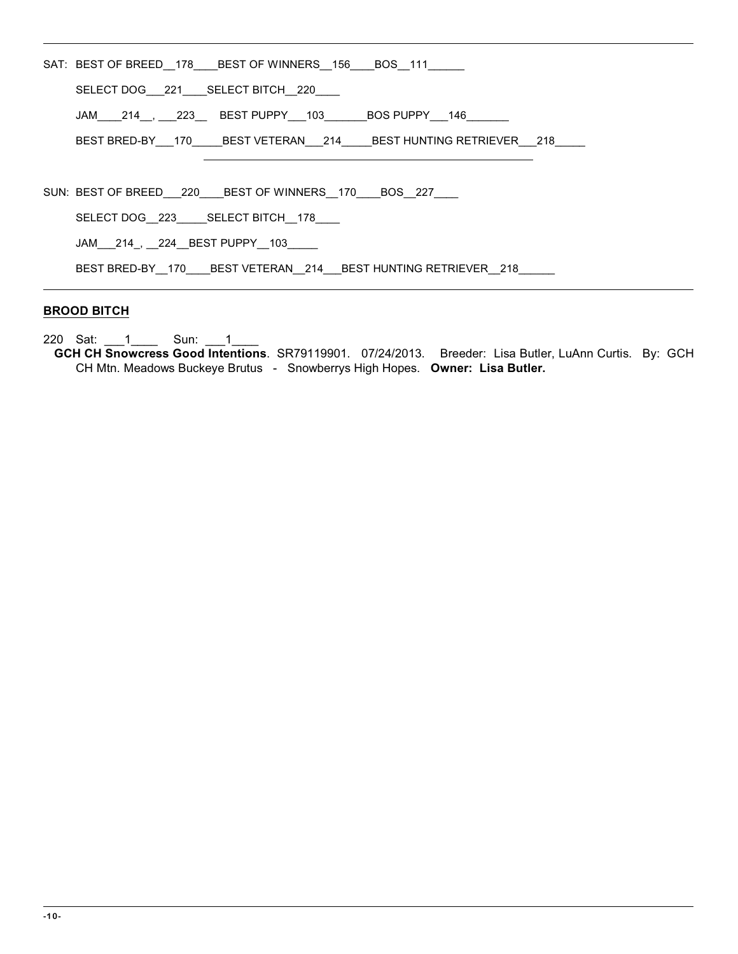|  | SAT: BEST OF BREED 178 BEST OF WINNERS 156 BOS 111                                                                                                             |  |  |  |
|--|----------------------------------------------------------------------------------------------------------------------------------------------------------------|--|--|--|
|  | SELECT DOG 221 SELECT BITCH 220                                                                                                                                |  |  |  |
|  | JAM_____214__, ____223___ BEST PUPPY____103_________BOS PUPPY____146_________                                                                                  |  |  |  |
|  | BEST BRED-BY  170  BEST VETERAN  214  BEST HUNTING RETRIEVER  218                                                                                              |  |  |  |
|  |                                                                                                                                                                |  |  |  |
|  | SUN: BEST OF BREED 220 BEST OF WINNERS 170 BOS 227                                                                                                             |  |  |  |
|  | SELECT DOG 223 SELECT BITCH 178<br>JAM 214, 224 BEST PUPPY 103<br>BEST BRED-BY 170         BEST VETERAN         214         BEST HUNTING RETRIEVER         218 |  |  |  |
|  |                                                                                                                                                                |  |  |  |
|  |                                                                                                                                                                |  |  |  |

# **BROOD BITCH**

220 Sat: \_\_\_1\_\_\_\_ Sun: \_\_\_1\_\_\_\_

**GCH CH Snowcress Good Intentions**. SR79119901. 07/24/2013. Breeder: Lisa Butler, LuAnn Curtis. By: GCH CH Mtn. Meadows Buckeye Brutus - Snowberrys High Hopes. **Owner: Lisa Butler.**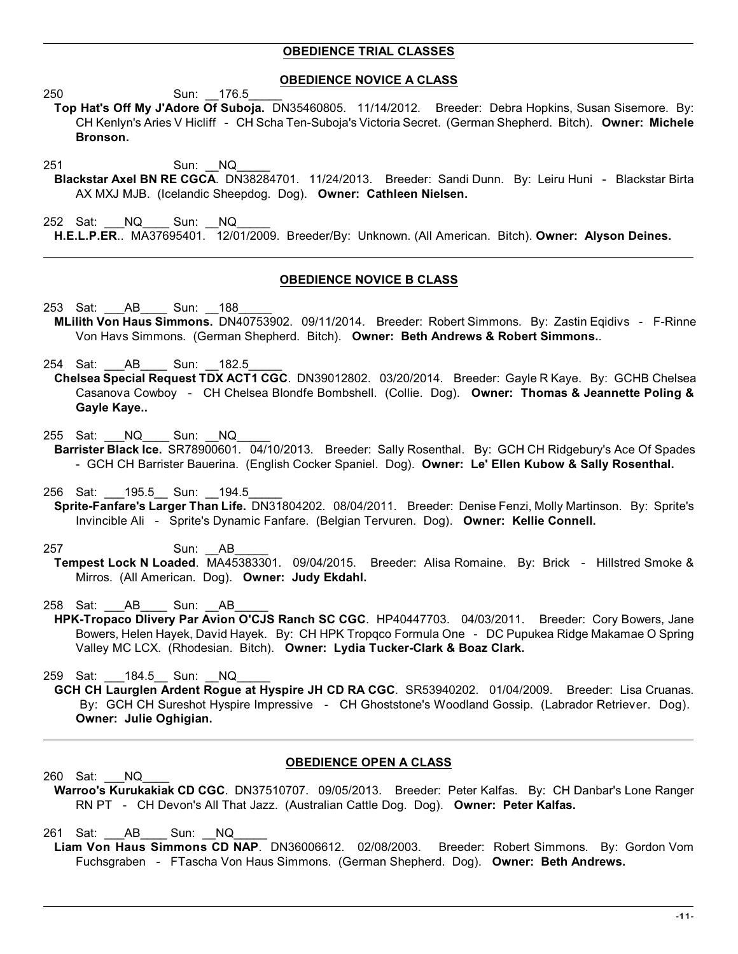## **OBEDIENCE TRIAL CLASSES**

### **OBEDIENCE NOVICE A CLASS**

250 Sun: \_\_176.5\_\_\_\_\_

- **T op Hat's Off My J'Adore Of Suboja.** DN35460805. 11/14/2012. Breeder: Debra Hopkins, Susan Sisemore. By: CH Kenlyn's Aries V Hicliff - CH Scha Ten-Suboja's Victoria Secret. (German Shepherd. Bitch). **Owner: Michele Bronson.**
- 251 Sun: NQ **B lackstar Axel BN RE CGCA**. DN38284701. 11/24/2013. Breeder: Sandi Dunn. By: Leiru Huni - Blackstar Birta AX MXJ MJB. (Icelandic Sheepdog. Dog). **Owner: Cathleen Nielsen.**
- 252 Sat: \_\_\_NQ\_\_\_\_ Sun: \_\_NQ\_\_\_\_\_ **H . E.L.P.ER**.. MA37695401. 12/01/2009. Breeder/By: Unknown. (All American. Bitch). **Owner: Alyson Deines.**

## **OBEDIENCE NOVICE B CLASS**

- 253 Sat: AB Sun: 188 **M Lilith Von Haus Simmons.** DN40753902. 09/11/2014. Breeder: Robert Simmons. By: Zastin Eqidivs - F-Rinne Von Havs Simmons. (German Shepherd. Bitch). **Owner: Beth Andrews & Robert Simmons.**.
- 254 Sat: AB Sun: 182.5
- **C helsea Special Request TDX ACT1 CGC**. DN39012802. 03/20/2014. Breeder: Gayle R Kaye. By: GCHB Chelsea Casanova Cowboy - CH Chelsea Blondfe Bombshell. (Collie. Dog). **Owner: Thomas & Jeannette Poling & Gayle Kaye..**
- 255 Sat: \_\_\_NQ\_\_\_\_ Sun: \_\_NQ\_\_\_\_\_
- **B arrister Black Ice.** SR78900601. 04/10/2013. Breeder: Sally Rosenthal. By: GCH CH Ridgebury's Ace Of Spades - GCH CH Barrister Bauerina. (English Cocker Spaniel. Dog). **Owner: Le' Ellen Kubow & Sally Rosenthal.**
- 256 Sat: 195.5 Sun: 194.5
- **Sprite-Fanfare's Larger Than Life.** DN31804202. 08/04/2011. Breeder: Denise Fenzi, Molly Martinson. By: Sprite's Invincible Ali - Sprite's Dynamic Fanfare. (Belgian Tervuren. Dog). **Owner: Kellie Connell.**
- 257 Sun: AB **T empest Lock N Loaded**. MA45383301. 09/04/2015. Breeder: Alisa Romaine. By: Brick - Hillstred Smoke & Mirros. (All American. Dog). **Owner: Judy Ekdahl.**
- 258 Sat: AB Sun: AB
- **HPK-Tropaco Dlivery Par Avion O'CJS Ranch SC CGC.** HP40447703. 04/03/2011. Breeder: Cory Bowers, Jane Bowers, Helen Hayek, David Hayek. By: CH HPK Tropqco Formula One - DC Pupukea Ridge Makamae O Spring Valley MC LCX. (Rhodesian. Bitch). **Owner: Lydia Tucker-Clark & Boaz Clark.**
- 259 Sat: 184.5 Sun: NQ
- **G CH CH Laurglen Ardent Rogue at Hyspire JH CD RA CGC**. SR53940202. 01/04/2009. Breeder: Lisa Cruanas. By: GCH CH Sureshot Hyspire Impressive - CH Ghoststone's Woodland Gossip. (Labrador Retriever. Dog). **Owner: Julie Oghigian.**

## **OBEDIENCE OPEN A CLASS**

- 260 Sat: NQ **W arroo's Kurukakiak CD CGC**. DN37510707. 09/05/2013. Breeder: Peter Kalfas. By: CH Danbar's Lone Ranger
	- RN PT CH Devon's All That Jazz. (Australian Cattle Dog. Dog). **Owner: Peter Kalfas.**

261 Sat: AB Sun: NQ

**L iam Von Haus Simmons CD NAP**. DN36006612. 02/08/2003. Breeder: Robert Simmons. By: Gordon Vom Fuchsgraben - FTascha Von Haus Simmons. (German Shepherd. Dog). **Owner: Beth Andrews.**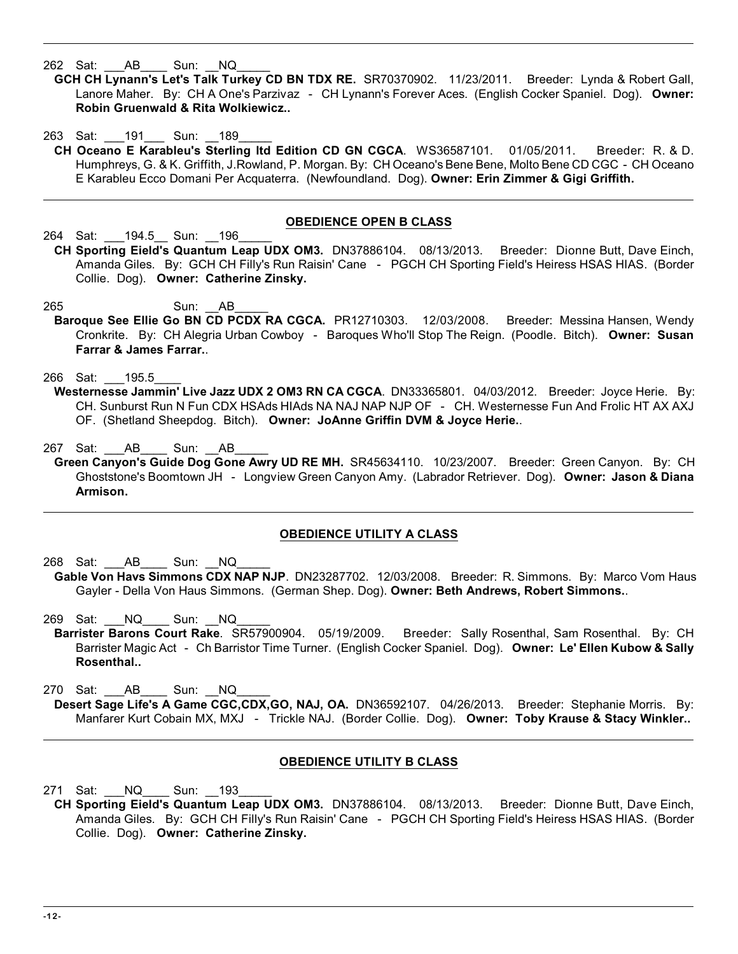262 Sat: AB Sun: NQ

- **G CH CH Lynann's Let's Talk Turkey CD BN TDX RE.** SR70370902. 11/23/2011. Breeder: Lynda & Robert Gall, Lanore Maher. By: CH A One's Parzivaz - CH Lynann's Forever Aces. (English Cocker Spaniel. Dog). **Owner: Robin Gruenwald & Rita Wolkiewicz..**
- 263 Sat: 191 Sun: 189 **CH Oceano E Karableu's Sterling ltd Edition CD GN CGCA**. WS36587101. 01/05/2011. Breeder: R. & D. Humphreys, G. & K. Griffith, J.Rowland, P. Morgan. By: CH Oceano's Bene Bene, Molto Bene CD CGC - CH Oceano E Karableu Ecco Domani Per Acquaterra. (Newfoundland. Dog). **Owner: Erin Zimmer & Gigi Griffith.**

# **OBEDIENCE OPEN B CLASS**

264 Sat: 194.5 Sun: 196

- **CH Sporting Eield's Quantum Leap UDX OM3.** DN37886104. 08/13/2013. Breeder: Dionne Butt, Dave Einch, Amanda Giles. By: GCH CH Filly's Run Raisin' Cane - PGCH CH Sporting Field's Heiress HSAS HIAS. (Border Collie. Dog). **Owner: Catherine Zinsky.**
- 265 Sun: AB
- **B aroque See Ellie Go BN CD PCDX RA CGCA.** PR12710303. 12/03/2008. Breeder: Messina Hansen, Wendy Cronkrite. By: CH Alegria Urban Cowboy - Baroques Who'll Stop The Reign. (Poodle. Bitch). **Owner: Susan Farrar & James Farrar.**.

266 Sat: 195.5

- Westernesse Jammin' Live Jazz UDX 2 OM3 RN CA CGCA. DN33365801. 04/03/2012. Breeder: Joyce Herie. By: CH. Sunburst Run N Fun CDX HSAds HIAds NA NAJ NAP NJP OF - CH. Westernesse Fun And Frolic HT AX AXJ OF. (Shetland Sheepdog. Bitch). **Owner: JoAnne Griffin DVM & Joyce Herie.**.
- 267 Sat: \_\_\_AB\_\_\_\_ Sun: \_\_AB\_\_\_\_\_
- **G reen Canyon's Guide Dog Gone Awry UD RE MH.** SR45634110. 10/23/2007. Breeder: Green Canyon. By: CH Ghoststone's Boomtown JH - Longview Green Canyon Amy. (Labrador Retriever. Dog). **Owner: Jason & Diana Armison.**

# **OBEDIENCE UTILITY A CLASS**

- 268 Sat: AB Sun: NQ Gable Von Havs Simmons CDX NAP NJP. DN23287702. 12/03/2008. Breeder: R. Simmons. By: Marco Vom Haus Gayler - Della Von Haus Simmons. (German Shep. Dog). **Owner: Beth Andrews, Robert Simmons.**.
- 269 Sat: \_\_\_NQ\_\_\_\_ Sun: \_\_NQ\_\_\_\_\_
- **Barrister Barons Court Rake**. SR57900904. 05/19/2009. Breeder: Sally Rosenthal, Sam Rosenthal. By: CH Barrister Magic Act - Ch Barristor Time Turner. (English Cocker Spaniel. Dog). **Owner: Le' Ellen Kubow & Sally Rosenthal..**

270 Sat: AB Sun: NQ

**D esert Sage Life's A Game CGC,CDX,GO, NAJ, OA.** DN36592107. 04/26/2013. Breeder: Stephanie Morris. By: Manfarer Kurt Cobain MX, MXJ - Trickle NAJ. (Border Collie. Dog). **Owner: Toby Krause & Stacy Winkler..**

# **OBEDIENCE UTILITY B CLASS**

271 Sat: NQ Sun: 193

**CH Sporting Eield's Quantum Leap UDX OM3.** DN37886104. 08/13/2013. Breeder: Dionne Butt, Dave Einch, Amanda Giles. By: GCH CH Filly's Run Raisin' Cane - PGCH CH Sporting Field's Heiress HSAS HIAS. (Border Collie. Dog). **Owner: Catherine Zinsky.**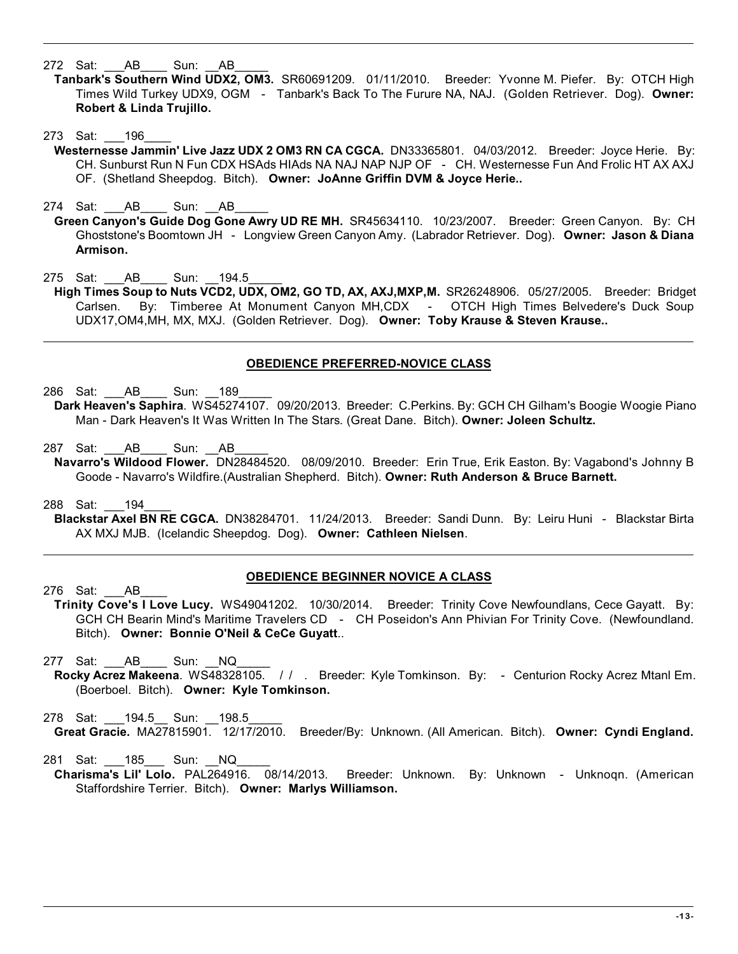272 Sat: AB Sun: AB

- **T anbark's Southern Wind UDX2, OM3.** SR60691209. 01/11/2010. Breeder: Yvonne M. Piefer. By: OTCH High Times Wild Turkey UDX9, OGM - Tanbark's Back To The Furure NA, NAJ. (Golden Retriever. Dog). **Owner: Robert & Linda Trujillo.**
- 273 Sat: 196
	- Westernesse Jammin' Live Jazz UDX 2 OM3 RN CA CGCA. DN33365801. 04/03/2012. Breeder: Joyce Herie. By: CH. Sunburst Run N Fun CDX HSAds HIAds NA NAJ NAP NJP OF - CH. Westernesse Fun And Frolic HT AX AXJ OF. (Shetland Sheepdog. Bitch). **Owner: JoAnne Griffin DVM & Joyce Herie..**
- 274 Sat: AB Sun: AB
- **G reen Canyon's Guide Dog Gone Awry UD RE MH.** SR45634110. 10/23/2007. Breeder: Green Canyon. By: CH Ghoststone's Boomtown JH - Longview Green Canyon Amy. (Labrador Retriever. Dog). **Owner: Jason & Diana Armison.**
- 275 Sat: AB Sun: 194.5
- High Times Soup to Nuts VCD2, UDX, OM2, GO TD, AX, AXJ,MXP,M. SR26248906. 05/27/2005. Breeder: Bridget Carlsen. By: Timberee At Monument Canyon MH,CDX - OTCH High Times Belvedere's Duck Soup UDX17,OM4,MH, MX, MXJ. (Golden Retriever. Dog). **Owner: Toby Krause & Steven Krause..**

## **OBEDIENCE PREFERRED-NOVICE CLASS**

286 Sat: AB Sun: 189

- **D ark Heaven's Saphira**. WS45274107. 09/20/2013. Breeder: C.Perkins. By: GCH CH Gilham's Boogie Woogie Piano Man - Dark Heaven's It Was Written In The Stars. (Great Dane. Bitch). **Owner: Joleen Schultz.**
- 287 Sat: AB \_\_\_\_ Sun: AB
- **N avarro's Wildood Flower.** DN28484520. 08/09/2010. Breeder: Erin True, Erik Easton. By: Vagabond's Johnny B Goode - Navarro's Wildfire.(Australian Shepherd. Bitch). **Owner: Ruth Anderson & Bruce Barnett.**
- 288 Sat: \_\_\_194\_\_\_\_
- **B lackstar Axel BN RE CGCA.** DN38284701. 11/24/2013. Breeder: Sandi Dunn. By: Leiru Huni Blackstar Birta AX MXJ MJB. (Icelandic Sheepdog. Dog). **Owner: Cathleen Nielsen**.
	- **OBEDIENCE BEGINNER NOVICE A CLASS**
- 276 Sat: AB **T rinity Cove's I Love Lucy.** WS49041202. 10/30/2014. Breeder: Trinity Cove Newfoundlans, Cece Gayatt. By: GCH CH Bearin Mind's Maritime Travelers CD - CH Poseidon's Ann Phivian For Trinity Cove. (Newfoundland. Bitch). **Owner: Bonnie O'Neil & CeCe Guyatt**..
- 277 Sat: AB Sun: NQ
- **R ocky Acrez Makeena**. WS48328105. / / . Breeder: Kyle Tomkinson. By: Centurion Rocky Acrez Mtanl Em. (Boerboel. Bitch). **Owner: Kyle Tomkinson.**
- 278 Sat: 194.5 Sun: 198.5 **G reat Gracie.** MA27815901. 12/17/2010. Breeder/By: Unknown. (All American. Bitch). **Owner: Cyndi England.**

281 Sat: 185 Sun: NQ

**C harisma's Lil' Lolo.** PAL264916. 08/14/2013. Breeder: Unknown. By: Unknown - Unknoqn. (American Staffordshire Terrier. Bitch). **Owner: Marlys Williamson.**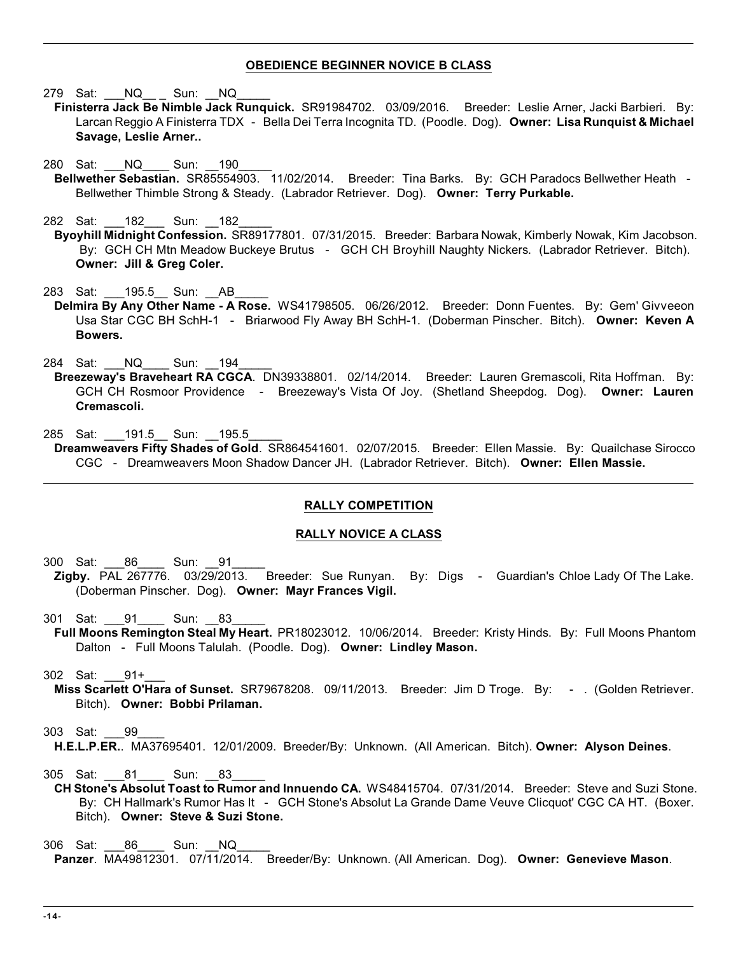## **OBEDIENCE BEGINNER NOVICE B CLASS**

279 Sat: \_\_\_NQ\_\_ \_ Sun: \_\_NQ\_\_\_\_\_

- **F inisterra Jack Be Nimble Jack Runquick.** SR91984702. 03/09/2016. Breeder: Leslie Arner, Jacki Barbieri. By: Larcan Reggio A Finisterra TDX - Bella Dei Terra Incognita TD. (Poodle. Dog). **Owner: Lisa Runquist & Michael Savage, Leslie Arner..**
- 280 Sat: \_\_\_NQ\_\_\_\_ Sun: \_\_190\_\_\_\_\_
- **B ellwether Sebastian.** SR85554903. 11/02/2014. Breeder: Tina Barks. By: GCH Paradocs Bellwether Heath Bellwether Thimble Strong & Steady. (Labrador Retriever. Dog). **Owner: Terry Purkable.**

282 Sat: 182 Sun: 182

**B yoyhill Midnight Confession.** SR89177801. 07/31/2015. Breeder: Barbara Nowak, Kimberly Nowak, Kim Jacobson. By: GCH CH Mtn Meadow Buckeye Brutus - GCH CH Broyhill Naughty Nickers. (Labrador Retriever. Bitch). **Owner: Jill & Greg Coler.**

283 Sat: 195.5 Sun: AB

Delmira By Any Other Name - A Rose. WS41798505. 06/26/2012. Breeder: Donn Fuentes. By: Gem' Givveeon Usa Star CGC BH SchH-1 - Briarwood Fly Away BH SchH-1. (Doberman Pinscher. Bitch). **Owner: Keven A Bowers.**

284 Sat: \_\_\_NQ\_\_\_\_ Sun: \_\_194\_\_\_\_\_

- **B reezeway's Braveheart RA CGCA**. DN39338801. 02/14/2014. Breeder: Lauren Gremascoli, Rita Hoffman. By: GCH CH Rosmoor Providence - Breezeway's Vista Of Joy. (Shetland Sheepdog. Dog). **Owner: Lauren Cremascoli.**
- 285 Sat: 191.5 Sun: 195.5
- **D reamweavers Fifty Shades of Gold**. SR864541601. 02/07/2015. Breeder: Ellen Massie. By: Quailchase Sirocco CGC - Dreamweavers Moon Shadow Dancer JH. (Labrador Retriever. Bitch). **Owner: Ellen Massie.**

## **RALLY COMPETITION**

## **RALLY NOVICE A CLASS**

300 Sat: 86 Sun: 91

- Zigby. PAL 267776. 03/29/2013. Breeder: Sue Runyan. By: Digs Guardian's Chloe Lady Of The Lake. (Doberman Pinscher. Dog). **Owner: Mayr Frances Vigil.**
- 301 Sat: 91 Sun: 83 **F ull Moons Remington Steal My Heart.** PR18023012. 10/06/2014. Breeder: Kristy Hinds. By: Full Moons Phantom Dalton - Full Moons Talulah. (Poodle. Dog). **Owner: Lindley Mason.**

302 Sat: \_\_\_91+\_\_\_

**M iss Scarlett O'Hara of Sunset.** SR79678208. 09/11/2013. Breeder: Jim D Troge. By: - . (Golden Retriever. Bitch). **Owner: Bobbi Prilaman.**

## 303 Sat: \_\_\_99\_\_\_\_

**H .E.L.P.ER.**. MA37695401. 12/01/2009. Breeder/By: Unknown. (All American. Bitch). **Owner: Alyson Deines**.

305 Sat: 81 Sun: 83

- **C H Stone's Absolut Toast to Rumor and Innuendo CA.** WS48415704. 07/31/2014. Breeder: Steve and Suzi Stone. By: CH Hallmark's Rumor Has It - GCH Stone's Absolut La Grande Dame Veuve Clicquot' CGC CA HT. (Boxer. Bitch). **Owner: Steve & Suzi Stone.**
- 306 Sat: 86 Sun: NQ  **Panzer**. MA49812301. 07/11/2014. Breeder/By: Unknown. (All American. Dog). **Owner: Genevieve Mason**.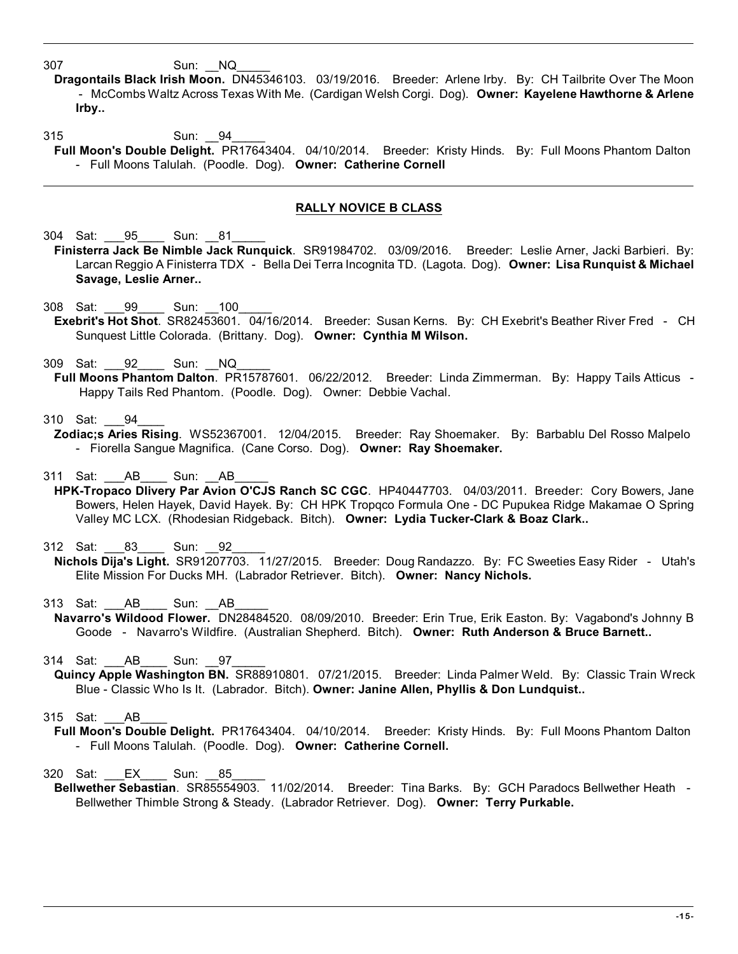307 Sun: NQ

**D ragontails Black Irish Moon.** DN45346103. 03/19/2016. Breeder: Arlene Irby. By: CH Tailbrite Over The Moon - McCombs Waltz Across Texas With Me. (Cardigan Welsh Corgi. Dog). **Owner: Kayelene Hawthorne & Arlene Irby..**

315 Sun: 94

**F ull Moon's Double Delight.** PR17643404. 04/10/2014. Breeder: Kristy Hinds. By: Full Moons Phantom Dalton - Full Moons Talulah. (Poodle. Dog). **Owner: Catherine Cornell**

# **RALLY NOVICE B CLASS**

304 Sat: 95 Sun: 81

- **F inisterra Jack Be Nimble Jack Runquick**. SR91984702. 03/09/2016. Breeder: Leslie Arner, Jacki Barbieri. By: Larcan Reggio A Finisterra TDX - Bella Dei Terra Incognita TD. (Lagota. Dog). **Owner: Lisa Runquist & Michael Savage, Leslie Arner..**
- 308 Sat: 99 Sun: 100 **E xebrit's Hot Shot**. SR82453601. 04/16/2014. Breeder: Susan Kerns. By: CH Exebrit's Beather River Fred - CH Sunquest Little Colorada. (Brittany. Dog). **Owner: Cynthia M Wilson.**
- 309 Sat: 92 Sun: NQ
- **F ull Moons Phantom Dalton**. PR15787601. 06/22/2012. Breeder: Linda Zimmerman. By: Happy Tails Atticus Happy Tails Red Phantom. (Poodle. Dog). Owner: Debbie Vachal.

## 310 Sat: 94

**Z odiac;s Aries Rising**. WS52367001. 12/04/2015. Breeder: Ray Shoemaker. By: Barbablu Del Rosso Malpelo - Fiorella Sangue Magnifica. (Cane Corso. Dog). **Owner: Ray Shoemaker.**

311 Sat: \_\_\_ AB \_\_\_\_ Sun: AB

- HPK-Tropaco Dlivery Par Avion O'CJS Ranch SC CGC. HP40447703. 04/03/2011. Breeder: Cory Bowers, Jane Bowers, Helen Hayek, David Hayek. By: CH HPK Tropqco Formula One - DC Pupukea Ridge Makamae O Spring Valley MC LCX. (Rhodesian Ridgeback. Bitch). **Owner: Lydia Tucker-Clark & Boaz Clark..**
- 312 Sat: 83 Sun: 92
- **N ichols Dija's Light.** SR91207703. 11/27/2015. Breeder: Doug Randazzo. By: FC Sweeties Easy Rider Utah's Elite Mission For Ducks MH. (Labrador Retriever. Bitch). **Owner: Nancy Nichols.**

313 Sat: AB Sun: AB

**N avarro's Wildood Flower.** DN28484520. 08/09/2010. Breeder: Erin True, Erik Easton. By: Vagabond's Johnny B Goode - Navarro's Wildfire. (Australian Shepherd. Bitch). **Owner: Ruth Anderson & Bruce Barnett..**

314 Sat: AB Sun: 97

- **Q uincy Apple Washington BN.** SR88910801. 07/21/2015. Breeder: Linda Palmer Weld. By: Classic Train Wreck Blue - Classic Who Is It. (Labrador. Bitch). **Owner: Janine Allen, Phyllis & Don Lundquist..**
- 315 Sat: AB
	- **F ull Moon's Double Delight.** PR17643404. 04/10/2014. Breeder: Kristy Hinds. By: Full Moons Phantom Dalton - Full Moons Talulah. (Poodle. Dog). **Owner: Catherine Cornell.**
- 320 Sat: EX Sun: 85
- **B ellwether Sebastian**. SR85554903. 11/02/2014. Breeder: Tina Barks. By: GCH Paradocs Bellwether Heath Bellwether Thimble Strong & Steady. (Labrador Retriever. Dog). **Owner: Terry Purkable.**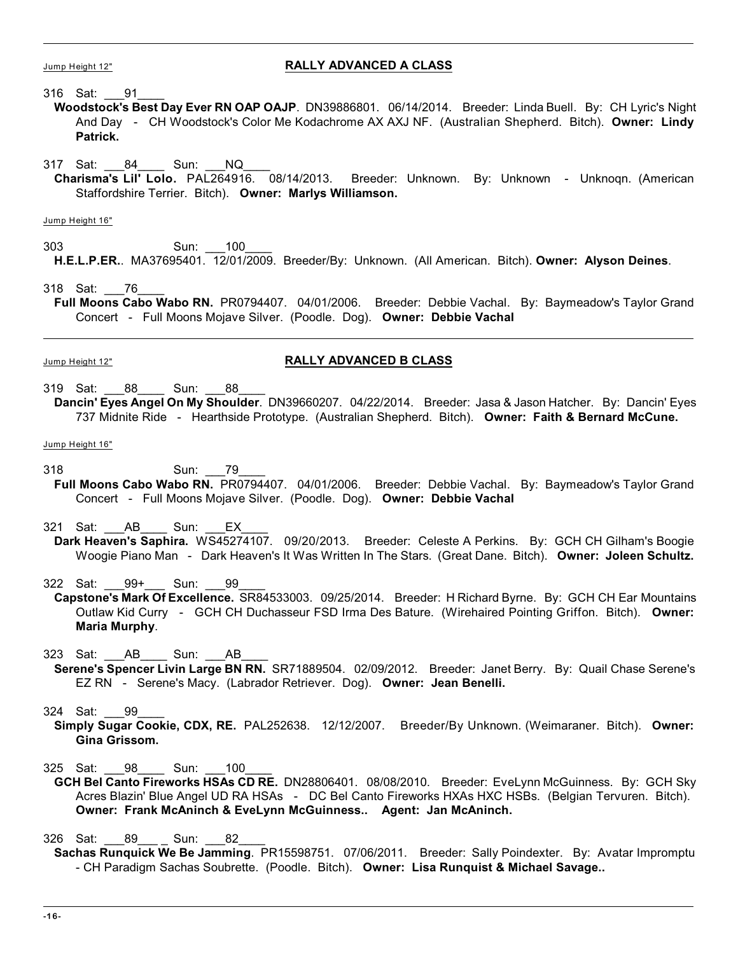## Jump Height 12" **RALLY ADVANCED A CLASS**

316 Sat: \_\_\_91\_\_\_\_

- **W oodstock's Best Day Ever RN OAP OAJP**. DN39886801. 06/14/2014. Breeder: Linda Buell. By: CH Lyric's Night And Day - CH Woodstock's Color Me Kodachrome AX AXJ NF. (Australian Shepherd. Bitch). **Owner: Lindy Patrick.**
- 317 Sat: 84 Sun: NQ
	- **C harisma's Lil' Lolo.** PAL264916. 08/14/2013. Breeder: Unknown. By: Unknown Unknoqn. (American Staffordshire Terrier. Bitch). **Owner: Marlys Williamson.**

Jump Height 16"

303 Sun: 100 **H .E.L.P.ER.**. MA37695401. 12/01/2009. Breeder/By: Unknown. (All American. Bitch). **Owner: Alyson Deines**.

318 Sat: \_\_\_76\_\_\_\_

**F ull Moons Cabo Wabo RN.** PR0794407. 04/01/2006. Breeder: Debbie Vachal. By: Baymeadow's Taylor Grand Concert - Full Moons Mojave Silver. (Poodle. Dog). **Owner: Debbie Vachal**

## Jump Height 12" **RALLY ADVANCED B CLASS**

- 319 Sat: 88 Sun: 88
- **D ancin' Eyes Angel On My Shoulder**. DN39660207. 04/22/2014. Breeder: Jasa & Jason Hatcher. By: Dancin' Eyes 737 Midnite Ride - Hearthside Prototype. (Australian Shepherd. Bitch). **Owner: Faith & Bernard McCune.**

Jump Height 16"

- 318 Sun: 79
- **F ull Moons Cabo Wabo RN.** PR0794407. 04/01/2006. Breeder: Debbie Vachal. By: Baymeadow's Taylor Grand Concert - Full Moons Mojave Silver. (Poodle. Dog). **Owner: Debbie Vachal**
- 321 Sat: AB Sun: EX Dark Heaven's Saphira. WS45274107. 09/20/2013. Breeder: Celeste A Perkins. By: GCH CH Gilham's Boogie Woogie Piano Man - Dark Heaven's It Was Written In The Stars. (Great Dane. Bitch). **Owner: Joleen Schultz.**

322 Sat: 99+ Sun: 99

**C apstone's Mark Of Excellence.** SR84533003. 09/25/2014. Breeder: H Richard Byrne. By: GCH CH Ear Mountains Outlaw Kid Curry - GCH CH Duchasseur FSD Irma Des Bature. (Wirehaired Pointing Griffon. Bitch). **Owner: Maria Murphy**.

323 Sat: \_\_\_AB\_\_\_\_ Sun: \_\_\_AB\_\_\_\_

**S erene's Spencer Livin Large BN RN.** SR71889504. 02/09/2012. Breeder: Janet Berry. By: Quail Chase Serene's EZ RN - Serene's Macy. (Labrador Retriever. Dog). **Owner: Jean Benelli.**

324 Sat: \_\_\_99\_\_\_\_

**S imply Sugar Cookie, CDX, RE.** PAL252638. 12/12/2007. Breeder/By Unknown. (Weimaraner. Bitch). **Owner: Gina Grissom.**

325 Sat: 98 Sun: 100

**G CH Bel Canto Fireworks HSAs CD RE.** DN28806401. 08/08/2010. Breeder: EveLynn McGuinness. By: GCH Sky Acres Blazin' Blue Angel UD RA HSAs - DC Bel Canto Fireworks HXAs HXC HSBs. (Belgian Tervuren. Bitch). **Owner: Frank McAninch & EveLynn McGuinness.. Agent: Jan McAninch.**

326 Sat: 89 Sun: 82

**S achas Runquick We Be Jamming**. PR15598751. 07/06/2011. Breeder: Sally Poindexter. By: Avatar Impromptu - CH Paradigm Sachas Soubrette. (Poodle. Bitch). **Owner: Lisa Runquist & Michael Savage..**